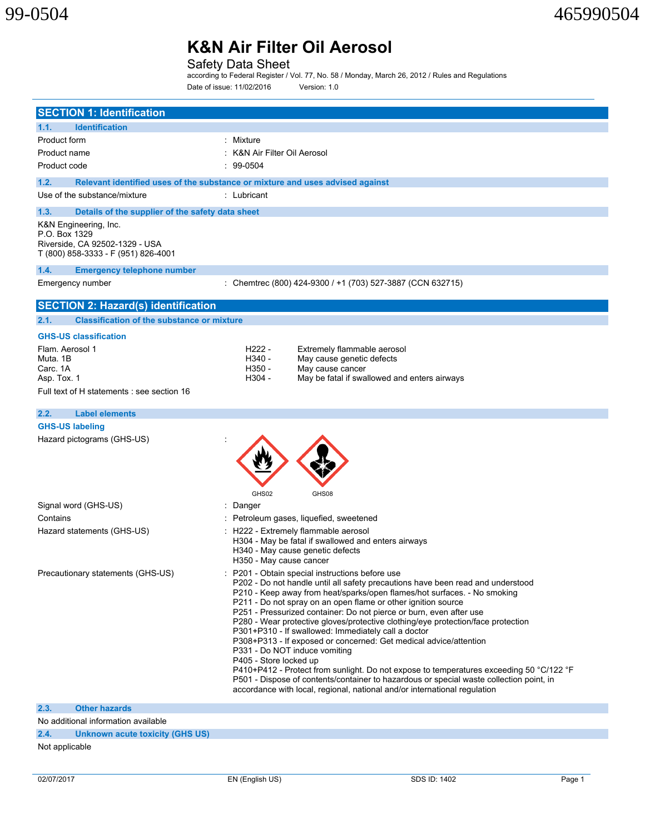Safety Data Sheet

according to Federal Register / Vol. 77, No. 58 / Monday, March 26, 2012 / Rules and Regulations Date of issue: 11/02/2016 Version: 1.0

| <b>SECTION 1: Identification</b>                                                                                |                                                                                                                                                                                                                                                                                                                                                                                                                                                                                                                                                                                                                                                                                                                                                                                                                                                                                                    |
|-----------------------------------------------------------------------------------------------------------------|----------------------------------------------------------------------------------------------------------------------------------------------------------------------------------------------------------------------------------------------------------------------------------------------------------------------------------------------------------------------------------------------------------------------------------------------------------------------------------------------------------------------------------------------------------------------------------------------------------------------------------------------------------------------------------------------------------------------------------------------------------------------------------------------------------------------------------------------------------------------------------------------------|
| 1.1.<br><b>Identification</b>                                                                                   |                                                                                                                                                                                                                                                                                                                                                                                                                                                                                                                                                                                                                                                                                                                                                                                                                                                                                                    |
| Product form                                                                                                    | : Mixture                                                                                                                                                                                                                                                                                                                                                                                                                                                                                                                                                                                                                                                                                                                                                                                                                                                                                          |
| Product name                                                                                                    | : K&N Air Filter Oil Aerosol                                                                                                                                                                                                                                                                                                                                                                                                                                                                                                                                                                                                                                                                                                                                                                                                                                                                       |
| Product code                                                                                                    | $: 99-0504$                                                                                                                                                                                                                                                                                                                                                                                                                                                                                                                                                                                                                                                                                                                                                                                                                                                                                        |
| 1.2.                                                                                                            | Relevant identified uses of the substance or mixture and uses advised against                                                                                                                                                                                                                                                                                                                                                                                                                                                                                                                                                                                                                                                                                                                                                                                                                      |
| Use of the substance/mixture                                                                                    | : Lubricant                                                                                                                                                                                                                                                                                                                                                                                                                                                                                                                                                                                                                                                                                                                                                                                                                                                                                        |
| 1.3.<br>Details of the supplier of the safety data sheet                                                        |                                                                                                                                                                                                                                                                                                                                                                                                                                                                                                                                                                                                                                                                                                                                                                                                                                                                                                    |
| K&N Engineering, Inc.<br>P.O. Box 1329<br>Riverside, CA 92502-1329 - USA<br>T (800) 858-3333 - F (951) 826-4001 |                                                                                                                                                                                                                                                                                                                                                                                                                                                                                                                                                                                                                                                                                                                                                                                                                                                                                                    |
| 1.4.<br><b>Emergency telephone number</b>                                                                       |                                                                                                                                                                                                                                                                                                                                                                                                                                                                                                                                                                                                                                                                                                                                                                                                                                                                                                    |
| Emergency number                                                                                                | : Chemtrec (800) 424-9300 / +1 (703) 527-3887 (CCN 632715)                                                                                                                                                                                                                                                                                                                                                                                                                                                                                                                                                                                                                                                                                                                                                                                                                                         |
| <b>SECTION 2: Hazard(s) identification</b>                                                                      |                                                                                                                                                                                                                                                                                                                                                                                                                                                                                                                                                                                                                                                                                                                                                                                                                                                                                                    |
| 2.1.<br><b>Classification of the substance or mixture</b>                                                       |                                                                                                                                                                                                                                                                                                                                                                                                                                                                                                                                                                                                                                                                                                                                                                                                                                                                                                    |
| <b>GHS-US classification</b>                                                                                    |                                                                                                                                                                                                                                                                                                                                                                                                                                                                                                                                                                                                                                                                                                                                                                                                                                                                                                    |
| Flam. Aerosol 1<br>Muta, 1B<br>Carc. 1A<br>Asp. Tox. 1<br>Full text of H statements : see section 16            | H <sub>222</sub> -<br>Extremely flammable aerosol<br>H340 -<br>May cause genetic defects<br>H350 -<br>May cause cancer<br>H304 -<br>May be fatal if swallowed and enters airways                                                                                                                                                                                                                                                                                                                                                                                                                                                                                                                                                                                                                                                                                                                   |
| 2.2.<br><b>Label elements</b>                                                                                   |                                                                                                                                                                                                                                                                                                                                                                                                                                                                                                                                                                                                                                                                                                                                                                                                                                                                                                    |
| <b>GHS-US labeling</b>                                                                                          |                                                                                                                                                                                                                                                                                                                                                                                                                                                                                                                                                                                                                                                                                                                                                                                                                                                                                                    |
| Hazard pictograms (GHS-US)                                                                                      | GHS02<br>GHS08                                                                                                                                                                                                                                                                                                                                                                                                                                                                                                                                                                                                                                                                                                                                                                                                                                                                                     |
| Signal word (GHS-US)                                                                                            | Danger                                                                                                                                                                                                                                                                                                                                                                                                                                                                                                                                                                                                                                                                                                                                                                                                                                                                                             |
| Contains                                                                                                        | Petroleum gases, liquefied, sweetened                                                                                                                                                                                                                                                                                                                                                                                                                                                                                                                                                                                                                                                                                                                                                                                                                                                              |
| Hazard statements (GHS-US)                                                                                      | : H222 - Extremely flammable aerosol<br>H304 - May be fatal if swallowed and enters airways<br>H340 - May cause genetic defects<br>H350 - May cause cancer                                                                                                                                                                                                                                                                                                                                                                                                                                                                                                                                                                                                                                                                                                                                         |
| Precautionary statements (GHS-US)                                                                               | P201 - Obtain special instructions before use<br>P202 - Do not handle until all safety precautions have been read and understood<br>P210 - Keep away from heat/sparks/open flames/hot surfaces. - No smoking<br>P211 - Do not spray on an open flame or other ignition source<br>P251 - Pressurized container: Do not pierce or burn, even after use<br>P280 - Wear protective gloves/protective clothing/eye protection/face protection<br>P301+P310 - If swallowed: Immediately call a doctor<br>P308+P313 - If exposed or concerned: Get medical advice/attention<br>P331 - Do NOT induce vomiting<br>P405 - Store locked up<br>P410+P412 - Protect from sunlight. Do not expose to temperatures exceeding 50 °C/122 °F<br>P501 - Dispose of contents/container to hazardous or special waste collection point, in<br>accordance with local, regional, national and/or international regulation |
| 2.3.<br><b>Other hazards</b>                                                                                    |                                                                                                                                                                                                                                                                                                                                                                                                                                                                                                                                                                                                                                                                                                                                                                                                                                                                                                    |
| No additional information available                                                                             |                                                                                                                                                                                                                                                                                                                                                                                                                                                                                                                                                                                                                                                                                                                                                                                                                                                                                                    |

**2.4. Unknown acute toxicity (GHS US)**

Not applicable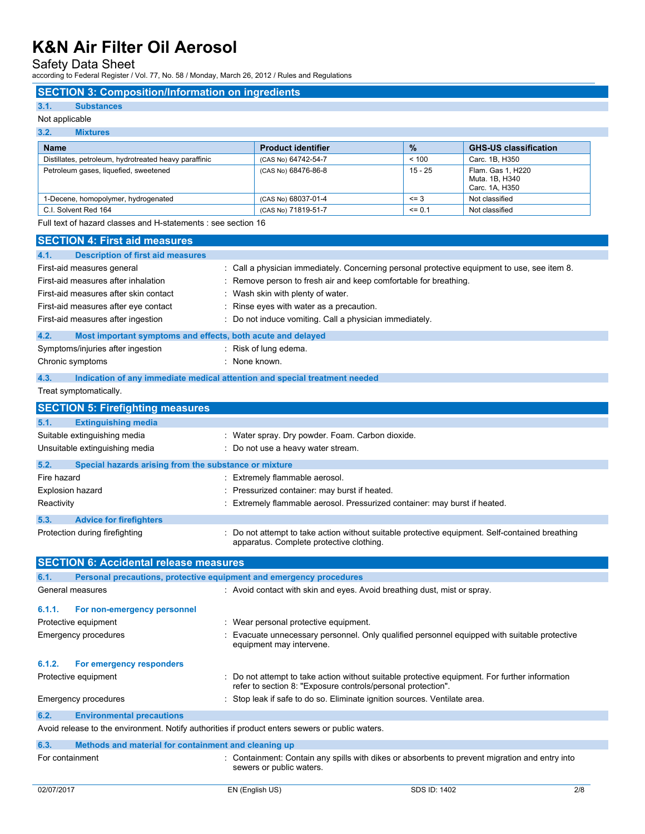Safety Data Sheet

according to Federal Register / Vol. 77, No. 58 / Monday, March 26, 2012 / Rules and Regulations

## **SECTION 3: Composition/Information on ingredients**

### **3.1. Substances**

### Not applicable

# **3.2. Mixtures**

| <b>Name</b>                                           | <b>Product identifier</b> | $\frac{9}{6}$ | <b>GHS-US classification</b>                          |
|-------------------------------------------------------|---------------------------|---------------|-------------------------------------------------------|
| Distillates, petroleum, hydrotreated heavy paraffinic | (CAS No) 64742-54-7       | < 100         | Carc. 1B. H350                                        |
| Petroleum gases, liquefied, sweetened                 | (CAS No) 68476-86-8       | 15 - 25       | Flam. Gas 1, H220<br>Muta, 1B, H340<br>Carc. 1A, H350 |
| 1-Decene, homopolymer, hydrogenated                   | (CAS No) 68037-01-4       | $= 3$         | Not classified                                        |
| C.I. Solvent Red 164                                  | (CAS No) 71819-51-7       | $= 0.1$       | Not classified                                        |

Full text of hazard classes and H-statements : see section 16

| <b>SECTION 4: First aid measures</b>                                |                                                                                                 |
|---------------------------------------------------------------------|-------------------------------------------------------------------------------------------------|
| <b>Description of first aid measures</b><br>4.1.                    |                                                                                                 |
| First-aid measures general                                          | : Call a physician immediately. Concerning personal protective equipment to use, see item 8.    |
| First-aid measures after inhalation                                 | Remove person to fresh air and keep comfortable for breathing.                                  |
| First-aid measures after skin contact                               | : Wash skin with plenty of water.                                                               |
| First-aid measures after eye contact                                | : Rinse eyes with water as a precaution.                                                        |
| First-aid measures after ingestion                                  | : Do not induce vomiting. Call a physician immediately.                                         |
| 4.2.<br>Most important symptoms and effects, both acute and delayed |                                                                                                 |
| Symptoms/injuries after ingestion                                   | : Risk of lung edema.                                                                           |
| Chronic symptoms                                                    | : None known.                                                                                   |
| 4.3.                                                                | Indication of any immediate medical attention and special treatment needed                      |
| Treat symptomatically.                                              |                                                                                                 |
| <b>SECTION 5: Firefighting measures</b>                             |                                                                                                 |
| <b>Extinguishing media</b><br>5.1.                                  |                                                                                                 |
| Suitable extinguishing media                                        | : Water spray. Dry powder. Foam. Carbon dioxide.                                                |
| Unsuitable extinguishing media                                      | : Do not use a heavy water stream.                                                              |
| 5.2.<br>Special hazards arising from the substance or mixture       |                                                                                                 |
| Fire hazard                                                         | : Extremely flammable aerosol.                                                                  |
| <b>Explosion hazard</b>                                             | Pressurized container: may burst if heated.                                                     |
| Reactivity                                                          | : Extremely flammable aerosol. Pressurized container: may burst if heated.                      |
| 5.3.<br><b>Advice for firefighters</b>                              |                                                                                                 |
| Protection during firefighting                                      | : Do not attempt to take action without suitable protective equipment. Self-contained breathing |
|                                                                     | apparatus. Complete protective clothing.                                                        |
| <b>SECTION 6: Accidental release measures</b>                       |                                                                                                 |
| 6.1.                                                                | Personal precautions, protective equipment and emergency procedures                             |
| General measures                                                    | : Avoid contact with skin and eyes. Avoid breathing dust, mist or spray.                        |
| 6.1.1.<br>For non-emergency personnel                               |                                                                                                 |
| Protective equipment                                                | : Wear personal protective equipment.                                                           |
| <b>Emergency procedures</b>                                         | Evacuate unnecessary personnel. Only qualified personnel equipped with suitable protective      |
|                                                                     | equipment may intervene.                                                                        |
| 6.1.2.<br>For emergency responders                                  |                                                                                                 |
| Protective equipment                                                | : Do not attempt to take action without suitable protective equipment. For further information  |
|                                                                     | refer to section 8: "Exposure controls/personal protection".                                    |
| <b>Emergency procedures</b>                                         | : Stop leak if safe to do so. Eliminate ignition sources. Ventilate area.                       |
| 6.2.<br><b>Environmental precautions</b>                            |                                                                                                 |
|                                                                     | Avoid release to the environment. Notify authorities if product enters sewers or public waters. |
| Methods and material for containment and cleaning up<br>6.3.        |                                                                                                 |
| For containment                                                     | Containment: Contain any spills with dikes or absorbents to prevent migration and entry into    |
|                                                                     | sewers or public waters.                                                                        |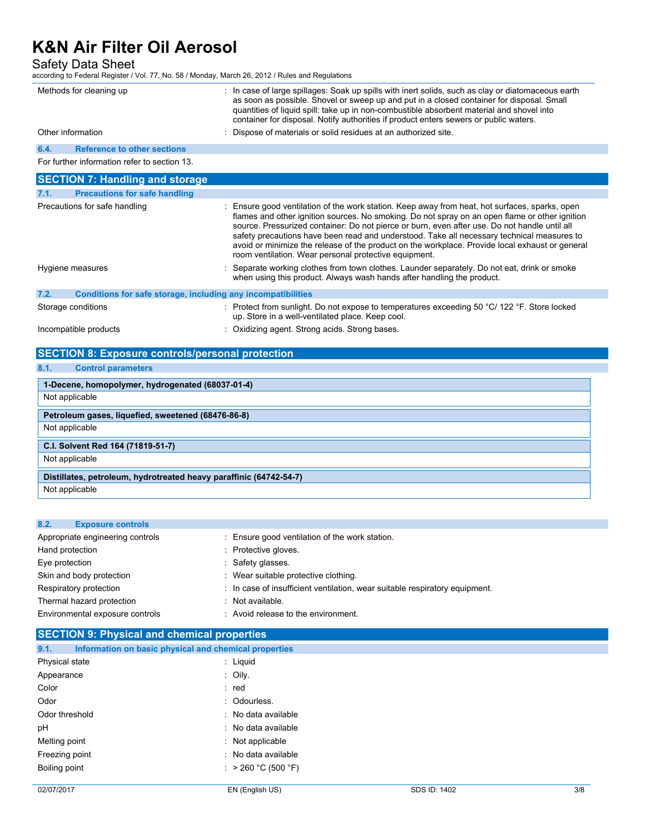Safety Data Sheet

|                   | according to Federal Register / Vol. 77, No. 58 / Monday, March 26, 2012 / Rules and Regulations |                                                                                                                                                                                                                                                                                                                                                                                                                                                                                                                                                             |
|-------------------|--------------------------------------------------------------------------------------------------|-------------------------------------------------------------------------------------------------------------------------------------------------------------------------------------------------------------------------------------------------------------------------------------------------------------------------------------------------------------------------------------------------------------------------------------------------------------------------------------------------------------------------------------------------------------|
|                   | Methods for cleaning up                                                                          | : In case of large spillages: Soak up spills with inert solids, such as clay or diatomaceous earth<br>as soon as possible. Shovel or sweep up and put in a closed container for disposal. Small<br>quantities of liquid spill: take up in non-combustible absorbent material and shovel into<br>container for disposal. Notify authorities if product enters sewers or public waters.                                                                                                                                                                       |
| Other information |                                                                                                  | : Dispose of materials or solid residues at an authorized site.                                                                                                                                                                                                                                                                                                                                                                                                                                                                                             |
| 6.4.              | <b>Reference to other sections</b>                                                               |                                                                                                                                                                                                                                                                                                                                                                                                                                                                                                                                                             |
|                   | For further information refer to section 13.                                                     |                                                                                                                                                                                                                                                                                                                                                                                                                                                                                                                                                             |
|                   | <b>SECTION 7: Handling and storage</b>                                                           |                                                                                                                                                                                                                                                                                                                                                                                                                                                                                                                                                             |
| 7.1.              | <b>Precautions for safe handling</b>                                                             |                                                                                                                                                                                                                                                                                                                                                                                                                                                                                                                                                             |
|                   | Precautions for safe handling                                                                    | : Ensure good ventilation of the work station. Keep away from heat, hot surfaces, sparks, open<br>flames and other ignition sources. No smoking. Do not spray on an open flame or other ignition<br>source. Pressurized container: Do not pierce or burn, even after use. Do not handle until all<br>safety precautions have been read and understood. Take all necessary technical measures to<br>avoid or minimize the release of the product on the workplace. Provide local exhaust or general<br>room ventilation. Wear personal protective equipment. |
|                   | Hygiene measures                                                                                 | : Separate working clothes from town clothes. Launder separately. Do not eat, drink or smoke<br>when using this product. Always wash hands after handling the product.                                                                                                                                                                                                                                                                                                                                                                                      |
| 7.2.              | Conditions for safe storage, including any incompatibilities                                     |                                                                                                                                                                                                                                                                                                                                                                                                                                                                                                                                                             |
|                   | Storage conditions                                                                               | : Protect from sunlight. Do not expose to temperatures exceeding 50 °C/ 122 °F. Store locked                                                                                                                                                                                                                                                                                                                                                                                                                                                                |

Incompatible products incompatible products incompatible products in the strong strong bases.

# **SECTION 8: Exposure controls/personal protection**

# **8.1. Control parameters**

| 1-Decene, homopolymer, hydrogenated (68037-01-4)                   |
|--------------------------------------------------------------------|
| Not applicable                                                     |
| Petroleum gases, liquefied, sweetened (68476-86-8)                 |
| Not applicable                                                     |
| C.I. Solvent Red 164 (71819-51-7)                                  |
|                                                                    |
| Not applicable                                                     |
| Distillates, petroleum, hydrotreated heavy paraffinic (64742-54-7) |

up. Store in a well-ventilated place. Keep cool.

## **8.2. Exposure controls**

| $\sim$ . $\sim$ .<br><b>EADOUMD UPIN UP</b> |                                                                           |
|---------------------------------------------|---------------------------------------------------------------------------|
| Appropriate engineering controls            | Ensure good ventilation of the work station.                              |
| Hand protection                             | : Protective gloves.                                                      |
| Eye protection                              | Safety glasses.                                                           |
| Skin and body protection                    | Wear suitable protective clothing.                                        |
| Respiratory protection                      | In case of insufficient ventilation, wear suitable respiratory equipment. |
| Thermal hazard protection                   | Not available.                                                            |
| Environmental exposure controls             | : Avoid release to the environment.                                       |

| 9.1.<br>Information on basic physical and chemical properties |                     |
|---------------------------------------------------------------|---------------------|
| Physical state                                                | : Liquid            |
| Appearance                                                    | : Oily.             |
| Color                                                         | : red               |
| Odor                                                          | : Odourless.        |
| Odor threshold                                                | : No data available |
| pH                                                            | : No data available |
| Melting point                                                 | : Not applicable    |
| Freezing point                                                | : No data available |
| Boiling point                                                 | : > 260 °C (500 °F) |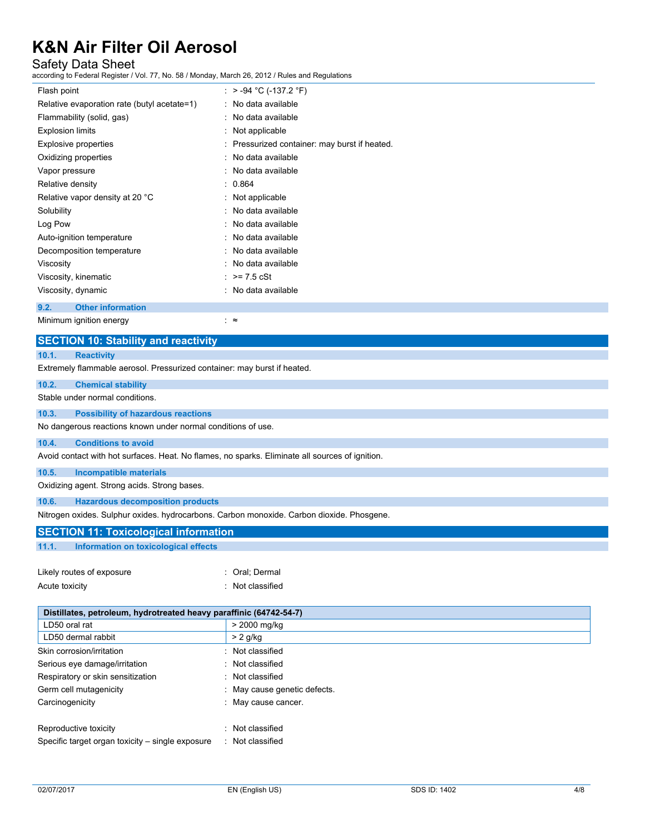# Safety Data Sheet

according to Federal Register / Vol. 77, No. 58 / Monday, March 26, 2012 / Rules and Regulations

| Flash point                                 | : > -94 °C (-137.2 °F)                        |
|---------------------------------------------|-----------------------------------------------|
| Relative evaporation rate (butyl acetate=1) | : No data available                           |
| Flammability (solid, gas)                   | : No data available                           |
| <b>Explosion limits</b>                     | : Not applicable                              |
| Explosive properties                        | : Pressurized container: may burst if heated. |
| Oxidizing properties                        | : No data available                           |
| Vapor pressure                              | : No data available                           |
| Relative density                            | : 0.864                                       |
| Relative vapor density at 20 °C             | $:$ Not applicable                            |
| Solubility                                  | : No data available                           |
| Log Pow                                     | : No data available                           |
| Auto-ignition temperature                   | : No data available                           |
| Decomposition temperature                   | : No data available                           |
| Viscosity                                   | : No data available                           |
| Viscosity, kinematic                        | : $> = 7.5$ cSt                               |
| Viscosity, dynamic                          | : No data available                           |
| 9.2.<br><b>Other information</b>            |                                               |

Minimum ignition energy : ≈

| <b>SECTION 10: Stability and reactivity</b>                                                     |  |  |  |
|-------------------------------------------------------------------------------------------------|--|--|--|
| <b>Reactivity</b>                                                                               |  |  |  |
| Extremely flammable aerosol. Pressurized container: may burst if heated.                        |  |  |  |
| <b>Chemical stability</b>                                                                       |  |  |  |
| Stable under normal conditions.                                                                 |  |  |  |
| <b>Possibility of hazardous reactions</b>                                                       |  |  |  |
| No dangerous reactions known under normal conditions of use.                                    |  |  |  |
| <b>Conditions to avoid</b><br>10.4.                                                             |  |  |  |
| Avoid contact with hot surfaces. Heat. No flames, no sparks. Eliminate all sources of ignition. |  |  |  |
| 10.5.<br><b>Incompatible materials</b>                                                          |  |  |  |
| Oxidizing agent. Strong acids. Strong bases.                                                    |  |  |  |
| <b>Hazardous decomposition products</b><br>10.6.                                                |  |  |  |
| Nitrogen oxides. Sulphur oxides. hydrocarbons. Carbon monoxide. Carbon dioxide. Phosgene.       |  |  |  |
| <b>SECTION 11: Toxicological information</b>                                                    |  |  |  |
| 11.1.<br>Information on toxicological effects                                                   |  |  |  |
|                                                                                                 |  |  |  |
| Likely routes of exposure<br>: Oral; Dermal                                                     |  |  |  |
| Acute toxicity<br>: Not classified                                                              |  |  |  |
|                                                                                                 |  |  |  |
| Distillates, petroleum, hydrotreated heavy paraffinic (64742-54-7)                              |  |  |  |

| . .                                              |                            |
|--------------------------------------------------|----------------------------|
| LD50 oral rat                                    | > 2000 mg/kg               |
| LD50 dermal rabbit                               | $> 2$ g/kg                 |
| Skin corrosion/irritation                        | : Not classified           |
| Serious eye damage/irritation                    | : Not classified           |
| Respiratory or skin sensitization                | : Not classified           |
| Germ cell mutagenicity                           | May cause genetic defects. |
| Carcinogenicity                                  | : May cause cancer.        |
| Reproductive toxicity                            | Not classified             |
| Specific target organ toxicity – single exposure | Not classified<br>л.       |
|                                                  |                            |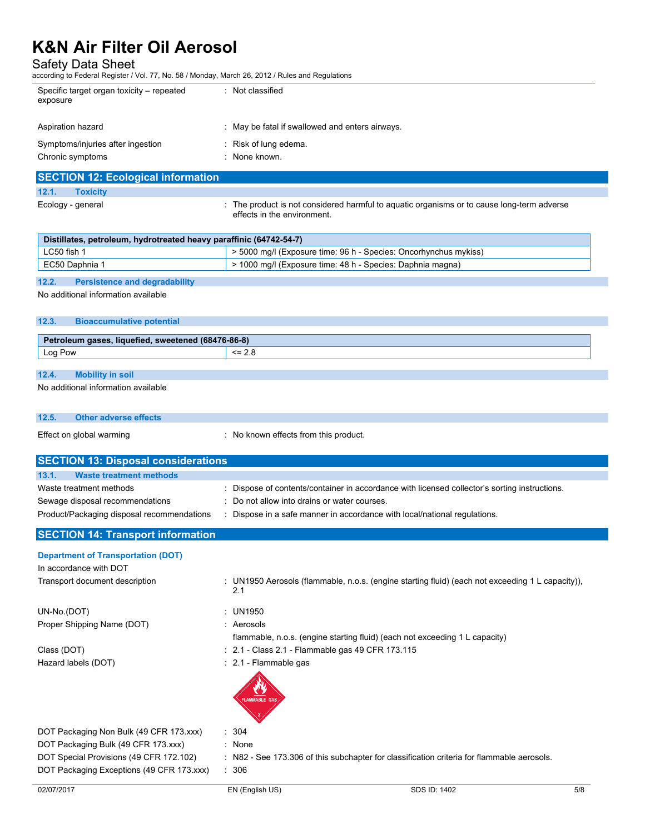Safety Data Sheet

according to Federal Register / Vol. 77, No. 58 / Monday, March 26, 2012 / Rules and Regulations

| Specific target organ toxicity – repeated<br>exposure | : Not classified                                |
|-------------------------------------------------------|-------------------------------------------------|
| Aspiration hazard                                     | : May be fatal if swallowed and enters airways. |
| Symptoms/injuries after ingestion                     | : Risk of lung edema.                           |
| Chronic symptoms                                      | : None known.                                   |
| <b>SECTION 12: Ecological information</b>             |                                                 |

| <b>SECTION 12: Ecological information</b> |                   |                                                                                                                           |  |
|-------------------------------------------|-------------------|---------------------------------------------------------------------------------------------------------------------------|--|
| 12.1.                                     | <b>Toxicity</b>   |                                                                                                                           |  |
|                                           | Ecology - general | : The product is not considered harmful to aquatic organisms or to cause long-term adverse<br>effects in the environment. |  |

| Distillates, petroleum, hydrotreated heavy paraffinic (64742-54-7) |                                                                  |  |  |
|--------------------------------------------------------------------|------------------------------------------------------------------|--|--|
| LC50 fish 1                                                        | > 5000 mg/l (Exposure time: 96 h - Species: Oncorhynchus mykiss) |  |  |
| EC50 Daphnia 1                                                     | $\geq$ 1000 mg/l (Exposure time: 48 h - Species: Daphnia magna)  |  |  |
|                                                                    |                                                                  |  |  |

### **12.2. Persistence and degradability**

No additional information available

### **12.3. Bioaccumulative potential**

| Petroleum gases, liquefied, sweetened (68476-86-8) |    |  |
|----------------------------------------------------|----|--|
| Log Pow                                            | <= |  |
|                                                    |    |  |

## **12.4. Mobility in soil**

No additional information available

## **12.5. Other adverse effects**

Effect on global warming **Effect** on global warming **in the state of the state of the state of the state of the state of the state of the state of the state of the state of the state of the state of the state of the state** 

| <b>SECTION 13: Disposal considerations</b> |                                                                                             |  |  |
|--------------------------------------------|---------------------------------------------------------------------------------------------|--|--|
| 13.1.<br>Waste treatment methods           |                                                                                             |  |  |
| Waste treatment methods                    | Dispose of contents/container in accordance with licensed collector's sorting instructions. |  |  |
| Sewage disposal recommendations            | : Do not allow into drains or water courses.                                                |  |  |
| Product/Packaging disposal recommendations | Dispose in a safe manner in accordance with local/national regulations.                     |  |  |

## **SECTION 14: Transport information**

# **Department of Transportation (DOT)**

| In accordance with DOT                  |                                                                                                         |
|-----------------------------------------|---------------------------------------------------------------------------------------------------------|
| Transport document description          | : UN1950 Aerosols (flammable, n.o.s. (engine starting fluid) (each not exceeding 1 L capacity)),<br>2.1 |
| UN-No.(DOT)                             | : UN1950                                                                                                |
| Proper Shipping Name (DOT)              | : Aerosols                                                                                              |
|                                         | flammable, n.o.s. (engine starting fluid) (each not exceeding 1 L capacity)                             |
| Class (DOT)                             | : 2.1 - Class 2.1 - Flammable gas 49 CFR 173.115                                                        |
| Hazard labels (DOT)                     | $\therefore$ 2.1 - Flammable gas                                                                        |
|                                         |                                                                                                         |
| DOT Packaging Non Bulk (49 CFR 173.xxx) | : 304                                                                                                   |
| DOT Packaging Bulk (49 CFR 173.xxx)     | : None                                                                                                  |
| DOT Special Provisions (49 CFR 172.102) | : N82 - See 173.306 of this subchapter for classification criteria for flammable aerosols.              |

DOT Packaging Exceptions (49 CFR 173.xxx) : 306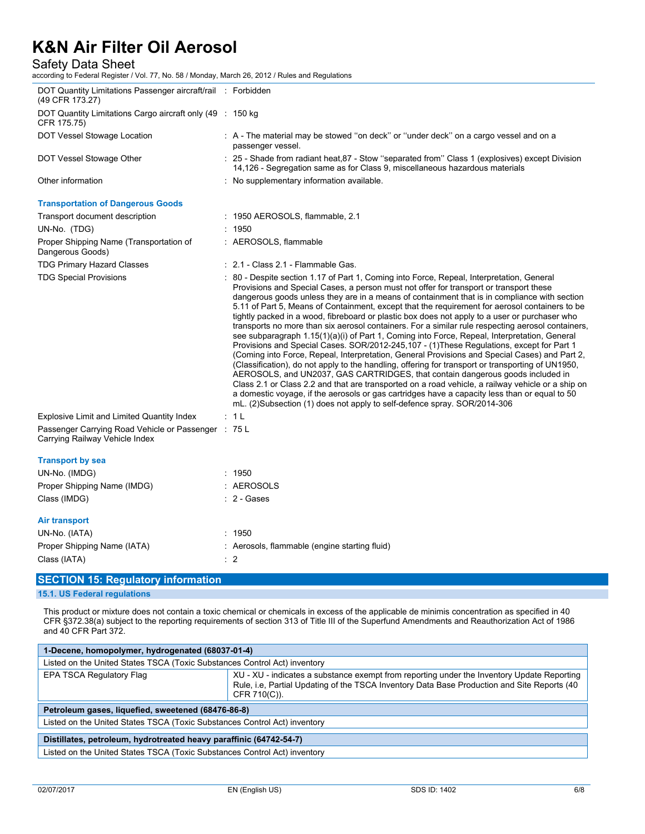Safety Data Sheet

according to Federal Register / Vol. 77, No. 58 / Monday, March 26, 2012 / Rules and Regulations

| DOT Quantity Limitations Passenger aircraft/rail : Forbidden<br>(49 CFR 173.27)       |                                                                                                                                                                                                                                                                                                                                                                                                                                                                                                                                                                                                                                                                                                                                                                                                                                                                                                                                                                                                                                                                                                                                                                                                                                                                                                                                                                   |
|---------------------------------------------------------------------------------------|-------------------------------------------------------------------------------------------------------------------------------------------------------------------------------------------------------------------------------------------------------------------------------------------------------------------------------------------------------------------------------------------------------------------------------------------------------------------------------------------------------------------------------------------------------------------------------------------------------------------------------------------------------------------------------------------------------------------------------------------------------------------------------------------------------------------------------------------------------------------------------------------------------------------------------------------------------------------------------------------------------------------------------------------------------------------------------------------------------------------------------------------------------------------------------------------------------------------------------------------------------------------------------------------------------------------------------------------------------------------|
| DOT Quantity Limitations Cargo aircraft only (49 : 150 kg<br>CFR 175.75)              |                                                                                                                                                                                                                                                                                                                                                                                                                                                                                                                                                                                                                                                                                                                                                                                                                                                                                                                                                                                                                                                                                                                                                                                                                                                                                                                                                                   |
| DOT Vessel Stowage Location                                                           | : A - The material may be stowed "on deck" or "under deck" on a cargo vessel and on a<br>passenger vessel.                                                                                                                                                                                                                                                                                                                                                                                                                                                                                                                                                                                                                                                                                                                                                                                                                                                                                                                                                                                                                                                                                                                                                                                                                                                        |
| DOT Vessel Stowage Other                                                              | : 25 - Shade from radiant heat, 87 - Stow "separated from" Class 1 (explosives) except Division<br>14,126 - Segregation same as for Class 9, miscellaneous hazardous materials                                                                                                                                                                                                                                                                                                                                                                                                                                                                                                                                                                                                                                                                                                                                                                                                                                                                                                                                                                                                                                                                                                                                                                                    |
| Other information                                                                     | : No supplementary information available.                                                                                                                                                                                                                                                                                                                                                                                                                                                                                                                                                                                                                                                                                                                                                                                                                                                                                                                                                                                                                                                                                                                                                                                                                                                                                                                         |
| <b>Transportation of Dangerous Goods</b>                                              |                                                                                                                                                                                                                                                                                                                                                                                                                                                                                                                                                                                                                                                                                                                                                                                                                                                                                                                                                                                                                                                                                                                                                                                                                                                                                                                                                                   |
| Transport document description                                                        | : 1950 AEROSOLS, flammable, 2.1                                                                                                                                                                                                                                                                                                                                                                                                                                                                                                                                                                                                                                                                                                                                                                                                                                                                                                                                                                                                                                                                                                                                                                                                                                                                                                                                   |
| UN-No. (TDG)                                                                          | : 1950                                                                                                                                                                                                                                                                                                                                                                                                                                                                                                                                                                                                                                                                                                                                                                                                                                                                                                                                                                                                                                                                                                                                                                                                                                                                                                                                                            |
| Proper Shipping Name (Transportation of<br>Dangerous Goods)                           | : AEROSOLS, flammable                                                                                                                                                                                                                                                                                                                                                                                                                                                                                                                                                                                                                                                                                                                                                                                                                                                                                                                                                                                                                                                                                                                                                                                                                                                                                                                                             |
| <b>TDG Primary Hazard Classes</b>                                                     | : 2.1 - Class 2.1 - Flammable Gas.                                                                                                                                                                                                                                                                                                                                                                                                                                                                                                                                                                                                                                                                                                                                                                                                                                                                                                                                                                                                                                                                                                                                                                                                                                                                                                                                |
| <b>TDG Special Provisions</b>                                                         | : 80 - Despite section 1.17 of Part 1, Coming into Force, Repeal, Interpretation, General<br>Provisions and Special Cases, a person must not offer for transport or transport these<br>dangerous goods unless they are in a means of containment that is in compliance with section<br>5.11 of Part 5, Means of Containment, except that the requirement for aerosol containers to be<br>tightly packed in a wood, fibreboard or plastic box does not apply to a user or purchaser who<br>transports no more than six aerosol containers. For a similar rule respecting aerosol containers,<br>see subparagraph 1.15(1)(a)(i) of Part 1, Coming into Force, Repeal, Interpretation, General<br>Provisions and Special Cases. SOR/2012-245,107 - (1)These Regulations, except for Part 1<br>(Coming into Force, Repeal, Interpretation, General Provisions and Special Cases) and Part 2,<br>(Classification), do not apply to the handling, offering for transport or transporting of UN1950,<br>AEROSOLS, and UN2037, GAS CARTRIDGES, that contain dangerous goods included in<br>Class 2.1 or Class 2.2 and that are transported on a road vehicle, a railway vehicle or a ship on<br>a domestic voyage, if the aerosols or gas cartridges have a capacity less than or equal to 50<br>mL. (2)Subsection (1) does not apply to self-defence spray. SOR/2014-306 |
| <b>Explosive Limit and Limited Quantity Index</b>                                     | : 1 L                                                                                                                                                                                                                                                                                                                                                                                                                                                                                                                                                                                                                                                                                                                                                                                                                                                                                                                                                                                                                                                                                                                                                                                                                                                                                                                                                             |
| Passenger Carrying Road Vehicle or Passenger : 75 L<br>Carrying Railway Vehicle Index |                                                                                                                                                                                                                                                                                                                                                                                                                                                                                                                                                                                                                                                                                                                                                                                                                                                                                                                                                                                                                                                                                                                                                                                                                                                                                                                                                                   |
| <b>Transport by sea</b><br>UN-No. (IMDG)                                              | : 1950                                                                                                                                                                                                                                                                                                                                                                                                                                                                                                                                                                                                                                                                                                                                                                                                                                                                                                                                                                                                                                                                                                                                                                                                                                                                                                                                                            |
| Proper Shipping Name (IMDG)                                                           | : AEROSOLS                                                                                                                                                                                                                                                                                                                                                                                                                                                                                                                                                                                                                                                                                                                                                                                                                                                                                                                                                                                                                                                                                                                                                                                                                                                                                                                                                        |
| Class (IMDG)                                                                          | $: 2 - Gases$                                                                                                                                                                                                                                                                                                                                                                                                                                                                                                                                                                                                                                                                                                                                                                                                                                                                                                                                                                                                                                                                                                                                                                                                                                                                                                                                                     |
| Air transport<br>UN-No. (IATA)<br>Proper Shipping Name (IATA)<br>Class (IATA)         | : 1950<br>: Aerosols, flammable (engine starting fluid)<br>$\therefore$ 2                                                                                                                                                                                                                                                                                                                                                                                                                                                                                                                                                                                                                                                                                                                                                                                                                                                                                                                                                                                                                                                                                                                                                                                                                                                                                         |
|                                                                                       |                                                                                                                                                                                                                                                                                                                                                                                                                                                                                                                                                                                                                                                                                                                                                                                                                                                                                                                                                                                                                                                                                                                                                                                                                                                                                                                                                                   |

# **SECTION 15: Regulatory information**

**15.1. US Federal regulations**

This product or mixture does not contain a toxic chemical or chemicals in excess of the applicable de minimis concentration as specified in 40 CFR §372.38(a) subject to the reporting requirements of section 313 of Title III of the Superfund Amendments and Reauthorization Act of 1986 and 40 CFR Part 372.

| 1-Decene, homopolymer, hydrogenated (68037-01-4)                          |                                                                                                                                                                                                           |  |
|---------------------------------------------------------------------------|-----------------------------------------------------------------------------------------------------------------------------------------------------------------------------------------------------------|--|
| Listed on the United States TSCA (Toxic Substances Control Act) inventory |                                                                                                                                                                                                           |  |
| EPA TSCA Regulatory Flag                                                  | XU - XU - indicates a substance exempt from reporting under the Inventory Update Reporting<br>Rule, i.e, Partial Updating of the TSCA Inventory Data Base Production and Site Reports (40<br>CFR 710(C)). |  |
| Petroleum gases, liquefied, sweetened (68476-86-8)                        |                                                                                                                                                                                                           |  |
| Listed on the United States TSCA (Toxic Substances Control Act) inventory |                                                                                                                                                                                                           |  |
| Distillates, petroleum, hydrotreated heavy paraffinic (64742-54-7)        |                                                                                                                                                                                                           |  |
| Listed on the United States TSCA (Toxic Substances Control Act) inventory |                                                                                                                                                                                                           |  |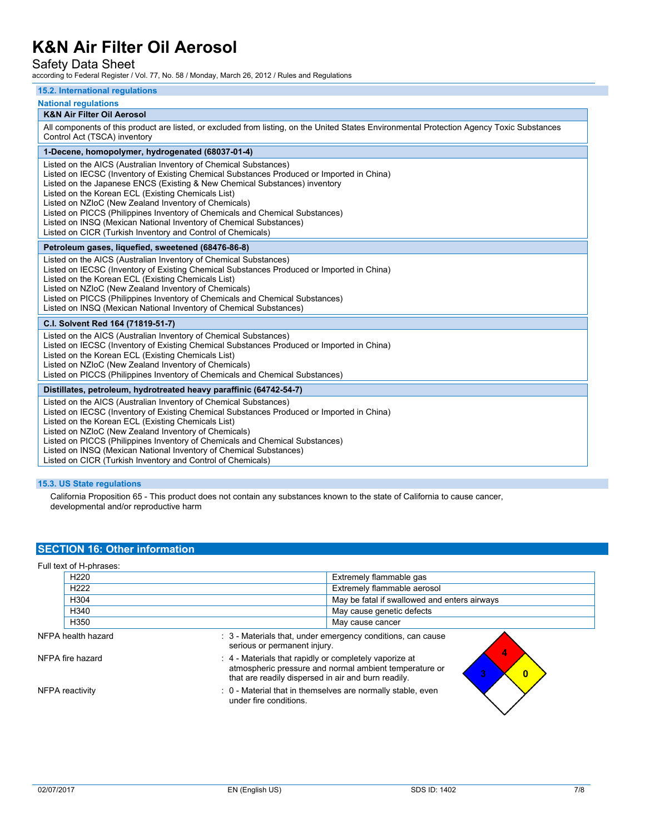## Safety Data Sheet

according to Federal Register / Vol. 77, No. 58 / Monday, March 26, 2012 / Rules and Regulations

#### **15.2. International regulations**

#### **National regulations**

### **K&N Air Filter Oil Aerosol**

All components of this product are listed, or excluded from listing, on the United States Environmental Protection Agency Toxic Substances Control Act (TSCA) inventory

### **1-Decene, homopolymer, hydrogenated (68037-01-4)**

Listed on the AICS (Australian Inventory of Chemical Substances)

- Listed on IECSC (Inventory of Existing Chemical Substances Produced or Imported in China)
- Listed on the Japanese ENCS (Existing & New Chemical Substances) inventory

Listed on the Korean ECL (Existing Chemicals List)

- Listed on NZIoC (New Zealand Inventory of Chemicals)
- Listed on PICCS (Philippines Inventory of Chemicals and Chemical Substances)
- Listed on INSQ (Mexican National Inventory of Chemical Substances)
- Listed on CICR (Turkish Inventory and Control of Chemicals)

#### **Petroleum gases, liquefied, sweetened (68476-86-8)**

Listed on the AICS (Australian Inventory of Chemical Substances) Listed on IECSC (Inventory of Existing Chemical Substances Produced or Imported in China) Listed on the Korean ECL (Existing Chemicals List) Listed on NZIoC (New Zealand Inventory of Chemicals) Listed on PICCS (Philippines Inventory of Chemicals and Chemical Substances)

Listed on INSQ (Mexican National Inventory of Chemical Substances)

#### **C.I. Solvent Red 164 (71819-51-7)**

Listed on the AICS (Australian Inventory of Chemical Substances) Listed on IECSC (Inventory of Existing Chemical Substances Produced or Imported in China) Listed on the Korean ECL (Existing Chemicals List) Listed on NZIoC (New Zealand Inventory of Chemicals) Listed on PICCS (Philippines Inventory of Chemicals and Chemical Substances)

#### **Distillates, petroleum, hydrotreated heavy paraffinic (64742-54-7)**

Listed on the AICS (Australian Inventory of Chemical Substances) Listed on IECSC (Inventory of Existing Chemical Substances Produced or Imported in China) Listed on the Korean ECL (Existing Chemicals List) Listed on NZIoC (New Zealand Inventory of Chemicals) Listed on PICCS (Philippines Inventory of Chemicals and Chemical Substances) Listed on INSQ (Mexican National Inventory of Chemical Substances) Listed on CICR (Turkish Inventory and Control of Chemicals)

#### **15.3. US State regulations**

Full text of H-phrases:

California Proposition 65 - This product does not contain any substances known to the state of California to cause cancer, developmental and/or reproductive harm

### **SECTION 16: Other information**

| Full text of H-phrases: |                    |                                                                                                                                                                                        |  |
|-------------------------|--------------------|----------------------------------------------------------------------------------------------------------------------------------------------------------------------------------------|--|
|                         | H <sub>220</sub>   | Extremely flammable gas                                                                                                                                                                |  |
|                         | H <sub>222</sub>   | Extremely flammable aerosol                                                                                                                                                            |  |
|                         | H304               | May be fatal if swallowed and enters airways                                                                                                                                           |  |
|                         | H340               | May cause genetic defects                                                                                                                                                              |  |
|                         | H350               | May cause cancer                                                                                                                                                                       |  |
|                         | NFPA health hazard | : 3 - Materials that, under emergency conditions, can cause<br>serious or permanent injury.                                                                                            |  |
| NFPA fire hazard        |                    | 4<br>: 4 - Materials that rapidly or completely vaporize at<br>atmospheric pressure and normal ambient temperature or<br>3<br>0<br>that are readily dispersed in air and burn readily. |  |
| NFPA reactivity         |                    | : 0 - Material that in themselves are normally stable, even<br>under fire conditions.                                                                                                  |  |
|                         |                    |                                                                                                                                                                                        |  |